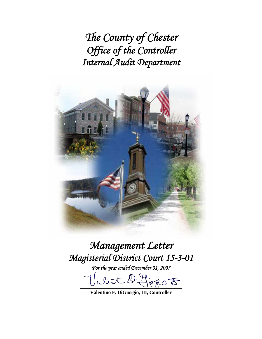*The County of Chester Office of the Controller Internal Audit Department* 



# *Management Letter Magisterial District Court 15-3-01*

*For the year ended December 31, 2007* 

 $\mathcal{D}$  this sid  $\mathcal{F}$  $\mathbf{0}$ .

**Valentino F. DiGiorgio, III, Controller**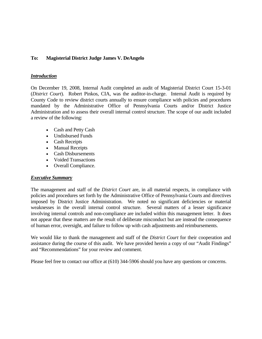## **To: Magisterial District Judge James V. DeAngelo**

#### *Introduction*

On December 19, 2008, Internal Audit completed an audit of Magisterial District Court 15-3-01 (*District Court*). Robert Pinkos, CIA, was the auditor-in-charge. Internal Audit is required by County Code to review district courts annually to ensure compliance with policies and procedures mandated by the Administrative Office of Pennsylvania Courts and/or District Justice Administration and to assess their overall internal control structure. The scope of our audit included a review of the following:

- Cash and Petty Cash
- Undisbursed Funds
- Cash Receipts
- Manual Receipts
- Cash Disbursements
- Voided Transactions
- Overall Compliance.

#### *Executive Summary*

The management and staff of the *District Court* are, in all material respects, in compliance with policies and procedures set forth by the Administrative Office of Pennsylvania Courts and directives imposed by District Justice Administration. We noted no significant deficiencies or material weaknesses in the overall internal control structure. Several matters of a lesser significance involving internal controls and non-compliance are included within this management letter. It does not appear that these matters are the result of deliberate misconduct but are instead the consequence of human error, oversight, and failure to follow up with cash adjustments and reimbursements.

We would like to thank the management and staff of the *District Court* for their cooperation and assistance during the course of this audit. We have provided herein a copy of our "Audit Findings" and "Recommendations" for your review and comment.

Please feel free to contact our office at (610) 344-5906 should you have any questions or concerns.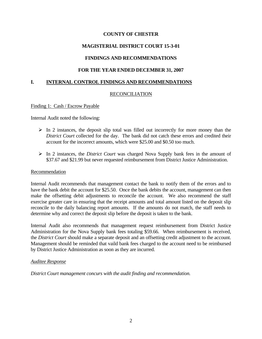# **MAGISTERIAL DISTRICT COURT 15-3-01**

# **FINDINGS AND RECOMMENDATIONS**

## **FOR THE YEAR ENDED DECEMBER 31, 2007**

## **I. INTERNAL CONTROL FINDINGS AND RECOMMENDATIONS**

## RECONCILIATION

#### Finding 1: Cash / Escrow Payable

Internal Audit noted the following:

- $\triangleright$  In 2 instances, the deposit slip total was filled out incorrectly for more money than the *District Court* collected for the day. The bank did not catch these errors and credited their account for the incorrect amounts, which were \$25.00 and \$0.50 too much.
- ¾ In 2 instances, the *District Court* was charged Nova Supply bank fees in the amount of \$37.67 and \$21.99 but never requested reimbursement from District Justice Administration.

#### Recommendation

Internal Audit recommends that management contact the bank to notify them of the errors and to have the bank debit the account for \$25.50. Once the bank debits the account, management can then make the offsetting debit adjustments to reconcile the account. We also recommend the staff exercise greater care in ensuring that the receipt amounts and total amount listed on the deposit slip reconcile to the daily balancing report amounts. If the amounts do not match, the staff needs to determine why and correct the deposit slip before the deposit is taken to the bank.

Internal Audit also recommends that management request reimbursement from District Justice Administration for the Nova Supply bank fees totaling \$59.66. When reimbursement is received, the *District Court* should make a separate deposit and an offsetting credit adjustment to the account. Management should be reminded that vaild bank fees charged to the account need to be reimbursed by District Justice Administration as soon as they are incurred.

#### *Auditee Response*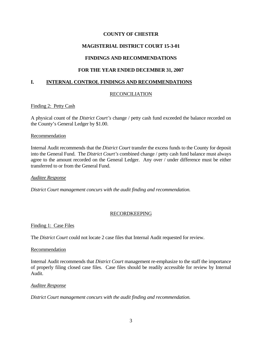# **MAGISTERIAL DISTRICT COURT 15-3-01**

# **FINDINGS AND RECOMMENDATIONS**

# **FOR THE YEAR ENDED DECEMBER 31, 2007**

# **I. INTERNAL CONTROL FINDINGS AND RECOMMENDATIONS**

# RECONCILIATION

## Finding 2: Petty Cash

A physical count of the *District Court's* change / petty cash fund exceeded the balance recorded on the County's General Ledger by \$1.00.

#### **Recommendation**

Internal Audit recommends that the *District Court* transfer the excess funds to the County for deposit into the General Fund. The *District Court's* combined change / petty cash fund balance must always agree to the amount recorded on the General Ledger. Any over / under difference must be either transferred to or from the General Fund.

#### *Auditee Response*

*District Court management concurs with the audit finding and recommendation.* 

#### RECORDKEEPING

Finding 1: Case Files

The *District Court* could not locate 2 case files that Internal Audit requested for review.

#### Recommendation

Internal Audit recommends that *District Court* management re-emphasize to the staff the importance of properly filing closed case files. Case files should be readily accessible for review by Internal Audit.

#### *Auditee Response*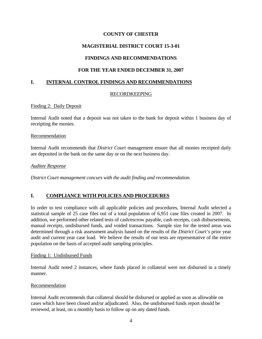# **MAGISTERIAL DISTRICT COURT 15-3-01**

# **FINDINGS AND RECOMMENDATIONS**

# **FOR THE YEAR ENDED DECEMBER 31, 2007**

# **I. INTERNAL CONTROL FINDINGS AND RECOMMENDATIONS**

## RECORDKEEPING

#### Finding 2: Daily Deposit

Internal Audit noted that a deposit was not taken to the bank for deposit within 1 business day of receipting the monies.

#### Recommendation

Internal Audit recommends that *District Court* management ensure that all monies receipted daily are deposited in the bank on the same day or on the next business day.

#### *Auditee Response*

*District Court management concurs with the audit finding and recommendation.* 

# **I. COMPLIANCE WITH POLICIES AND PROCEDURES**

In order to test compliance with all applicable policies and procedures, Internal Audit selected a statistical sample of 25 case files out of a total population of 6,951 case files created in 2007. In addition, we performed other related tests of cash/escrow payable, cash receipts, cash disbursements, manual receipts, undisbursed funds, and voided transactions. Sample size for the tested areas was determined through a risk assessment analysis based on the results of the *District Court's* prior year audit and current year case load. We believe the results of our tests are representative of the entire population on the basis of accepted audit sampling principles.

#### Finding 1: Undisbursed Funds

Internal Audit noted 2 instances, where funds placed in collateral were not disbursed in a timely manner.

#### Recommendation

Internal Audit recommends that collateral should be disbursed or applied as soon as allowable on cases which have been closed and/or adjudicated. Also, the undisbursed funds report should be reviewed, at least, on a monthly basis to follow up on any dated funds.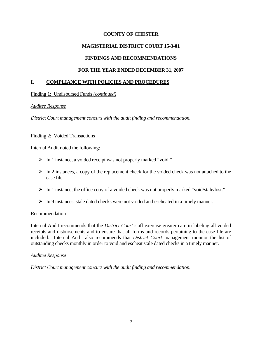## **MAGISTERIAL DISTRICT COURT 15-3-01**

## **FINDINGS AND RECOMMENDATIONS**

## **FOR THE YEAR ENDED DECEMBER 31, 2007**

## **I. COMPLIANCE WITH POLICIES AND PROCEDURES**

Finding 1: Undisbursed Funds *(continued)*

#### *Auditee Response*

*District Court management concurs with the audit finding and recommendation.* 

#### Finding 2: Voided Transactions

Internal Audit noted the following:

- ¾ In 1 instance, a voided receipt was not properly marked "void."
- $\triangleright$  In 2 instances, a copy of the replacement check for the voided check was not attached to the case file.
- ¾ In 1 instance, the office copy of a voided check was not properly marked "void/stale/lost."
- $\triangleright$  In 9 instances, stale dated checks were not voided and escheated in a timely manner.

#### Recommendation

Internal Audit recommends that the *District Court* staff exercise greater care in labeling all voided receipts and disbursements and to ensure that all forms and records pertaining to the case file are included. Internal Audit also recommends that *District Court* management monitor the list of outstanding checks monthly in order to void and escheat stale dated checks in a timely manner.

#### *Auditee Response*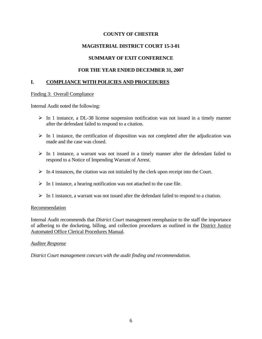# **MAGISTERIAL DISTRICT COURT 15-3-01**

# **SUMMARY OF EXIT CONFERENCE**

# **FOR THE YEAR ENDED DECEMBER 31, 2007**

# **I. COMPLIANCE WITH POLICIES AND PROCEDURES**

## Finding 3: Overall Compliance

Internal Audit noted the following:

- $\triangleright$  In 1 instance, a DL-38 license suspension notification was not issued in a timely manner after the defendant failed to respond to a citation.
- $\triangleright$  In 1 instance, the certification of disposition was not completed after the adjudication was made and the case was closed.
- $\triangleright$  In 1 instance, a warrant was not issued in a timely manner after the defendant failed to respond to a Notice of Impending Warrant of Arrest.
- $\triangleright$  In 4 instances, the citation was not initialed by the clerk upon receipt into the Court.
- $\triangleright$  In 1 instance, a hearing notification was not attached to the case file.
- $\triangleright$  In 1 instance, a warrant was not issued after the defendant failed to respond to a citation.

# Recommendation

Internal Audit recommends that *District Court* management reemphasize to the staff the importance of adhering to the docketing, billing, and collection procedures as outlined in the District Justice Automated Office Clerical Procedures Manual.

# *Auditee Response*